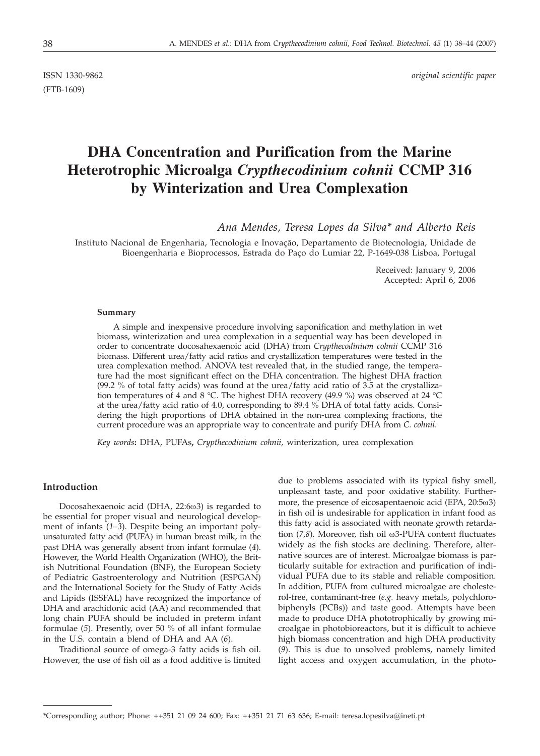(FTB-1609)

ISSN 1330-9862 *original scientific paper*

# **DHA Concentration and Purification from the Marine Heterotrophic Microalga** *Crypthecodinium cohnii* **CCMP 316 by Winterization and Urea Complexation**

*Ana Mendes, Teresa Lopes da Silva\* and Alberto Reis*

Instituto Nacional de Engenharia, Tecnologia e Inovação, Departamento de Biotecnologia, Unidade de Bioengenharia e Bioprocessos, Estrada do Paço do Lumiar 22, P-1649-038 Lisboa, Portugal

> Received: January 9, 2006 Accepted: April 6, 2006

### **Summary**

A simple and inexpensive procedure involving saponification and methylation in wet biomass, winterization and urea complexation in a sequential way has been developed in order to concentrate docosahexaenoic acid (DHA) from *Crypthecodinium cohnii* CCMP 316 biomass. Different urea/fatty acid ratios and crystallization temperatures were tested in the urea complexation method. ANOVA test revealed that, in the studied range, the temperature had the most significant effect on the DHA concentration. The highest DHA fraction (99.2 % of total fatty acids) was found at the urea/fatty acid ratio of 3.5 at the crystallization temperatures of 4 and 8 °C. The highest DHA recovery (49.9 %) was observed at 24 °C at the urea/fatty acid ratio of 4.0, corresponding to 89.4 % DHA of total fatty acids. Considering the high proportions of DHA obtained in the non-urea complexing fractions, the current procedure was an appropriate way to concentrate and purify DHA from *C. cohnii*.

*Key words***:** DHA, PUFAs**,** *Crypthecodinium cohnii,* winterization, urea complexation

## **Introduction**

Docosahexaenoic acid (DHA,  $22:6\omega3$ ) is regarded to be essential for proper visual and neurological development of infants (*1–3*). Despite being an important polyunsaturated fatty acid (PUFA) in human breast milk, in the past DHA was generally absent from infant formulae (*4*). However, the World Health Organization (WHO), the British Nutritional Foundation (BNF), the European Society of Pediatric Gastroenterology and Nutrition (ESPGAN) and the International Society for the Study of Fatty Acids and Lipids (ISSFAL) have recognized the importance of DHA and arachidonic acid (AA) and recommended that long chain PUFA should be included in preterm infant formulae (*5*). Presently, over 50 % of all infant formulae in the U.S. contain a blend of DHA and AA (*6*).

Traditional source of omega-3 fatty acids is fish oil. However, the use of fish oil as a food additive is limited

due to problems associated with its typical fishy smell, unpleasant taste, and poor oxidative stability. Furthermore, the presence of eicosapentaenoic acid (EPA, 20:5ω3) in fish oil is undesirable for application in infant food as this fatty acid is associated with neonate growth retardation (7,8). Moreover, fish oil w3-PUFA content fluctuates widely as the fish stocks are declining. Therefore, alternative sources are of interest. Microalgae biomass is particularly suitable for extraction and purification of individual PUFA due to its stable and reliable composition. In addition, PUFA from cultured microalgae are cholesterol-free, contaminant-free (*e.g.* heavy metals, polychlorobiphenyls (PCBs)) and taste good. Attempts have been made to produce DHA phototrophically by growing microalgae in photobioreactors, but it is difficult to achieve high biomass concentration and high DHA productivity (*9*). This is due to unsolved problems, namely limited light access and oxygen accumulation, in the photo-

<sup>\*</sup>Corresponding author; Phone: ++351 21 09 24 600; Fax: ++351 21 71 63 636; E-mail: teresa.lopesilva*@*ineti.pt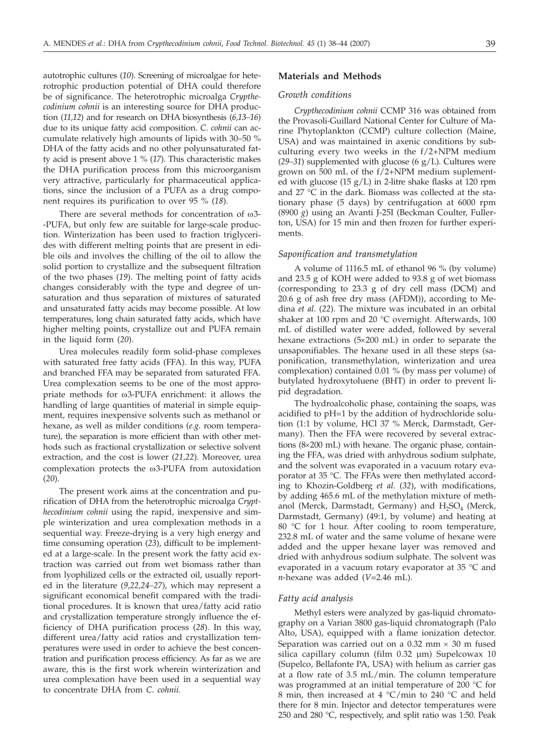autotrophic cultures (*10*). Screening of microalgae for heterotrophic production potential of DHA could therefore be of significance. The heterotrophic microalga *Crypthecodinium cohnii* is an interesting source for DHA production (*11,12*) and for research on DHA biosynthesis (*6,13–16*) due to its unique fatty acid composition. *C*. *cohnii* can accumulate relatively high amounts of lipids with 30–50 % DHA of the fatty acids and no other polyunsaturated fatty acid is present above1%(*17*). This characteristic makes the DHA purification process from this microorganism very attractive, particularly for pharmaceutical applications, since the inclusion of a PUFA as a drug component requires its purification to over 95 % (*18*).

There are several methods for concentration of  $\omega$ 3--PUFA, but only few are suitable for large-scale production. Winterization has been used to fraction triglycerides with different melting points that are present in edible oils and involves the chilling of the oil to allow the solid portion to crystallize and the subsequent filtration of the two phases (*19*). The melting point of fatty acids changes considerably with the type and degree of unsaturation and thus separation of mixtures of saturated and unsaturated fatty acids may become possible. At low temperatures, long chain saturated fatty acids, which have higher melting points, crystallize out and PUFA remain in the liquid form (*20*).

Urea molecules readily form solid-phase complexes with saturated free fatty acids (FFA). In this way, PUFA and branched FFA may be separated from saturated FFA. Urea complexation seems to be one of the most appropriate methods for w3-PUFA enrichment: it allows the handling of large quantities of material in simple equipment, requires inexpensive solvents such as methanol or hexane, as well as milder conditions (*e.g.* room temperature), the separation is more efficient than with other methods such as fractional crystallization or selective solvent extraction, and the cost is lower (*21,22*). Moreover, urea complexation protects the w3-PUFA from autoxidation (*20*).

The present work aims at the concentration and purification of DHA from the heterotrophic microalga *Crypthecodinium cohnii* using the rapid, inexpensive and simple winterization and urea complexation methods in a sequential way. Freeze-drying is a very high energy and time consuming operation (*23*), difficult to be implemented at a large-scale. In the present work the fatty acid extraction was carried out from wet biomass rather than from lyophilized cells or the extracted oil, usually reported in the literature (*9,22,24–27*), which may represent a significant economical benefit compared with the traditional procedures. It is known that urea/fatty acid ratio and crystallization temperature strongly influence the efficiency of DHA purification process (*28*). In this way, different urea/fatty acid ratios and crystallization temperatures were used in order to achieve the best concentration and purification process efficiency. As far as we are aware, this is the first work wherein winterization and urea complexation have been used in a sequential way to concentrate DHA from *C. cohnii.*

## **Materials and Methods**

#### *Growth conditions*

*Crypthecodinium cohnii* CCMP 316 was obtained from the Provasoli-Guillard National Center for Culture of Marine Phytoplankton (CCMP) culture collection (Maine, USA) and was maintained in axenic conditions by subculturing every two weeks in the f/2+NPM medium (*29–31*) supplemented with glucose (6 g/L). Cultures were grown on 500 mL of the f/2+NPM medium suplemented with glucose (15 g/L) in 2-litre shake flasks at 120 rpm and 27 °C in the dark. Biomass was collected at the stationary phase (5 days) by centrifugation at 6000 rpm (8900 *g*) using an Avanti J-25I (Beckman Coulter, Fullerton, USA) for 15 min and then frozen for further experiments.

### *Saponification and transmetylation*

A volume of 1116.5 mL of ethanol 96 % (by volume) and 23.5 g of KOH were added to 93.8 g of wet biomass (corresponding to 23.3 g of dry cell mass (DCM) and 20.6 g of ash free dry mass (AFDM)), according to Medina *et al*. (*22*). The mixture was incubated in an orbital shaker at 100 rpm and 20  $^{\circ}$ C overnight. Afterwards, 100 mL of distilled water were added, followed by several hexane extractions  $(5\times200 \text{ mL})$  in order to separate the unsaponifiables. The hexane used in all these steps (saponification, transmethylation, winterization and urea complexation) contained 0.01 % (by mass per volume) of butylated hydroxytoluene (BHT) in order to prevent lipid degradation.

The hydroalcoholic phase, containing the soaps, was acidified to pH=1 by the addition of hydrochloride solution (1:1 by volume, HCl 37 % Merck, Darmstadt, Germany). Then the FFA were recovered by several extractions  $(8\times200 \text{ mL})$  with hexane. The organic phase, containing the FFA, was dried with anhydrous sodium sulphate, and the solvent was evaporated in a vacuum rotary evaporator at 35 °C. The FFAs were then methylated according to Khozin-Goldberg *et al.* (*32*), with modifications, by adding 465.6 mL of the methylation mixture of methanol (Merck, Darmstadt, Germany) and  $H_2SO_4$  (Merck, Darmstadt, Germany) (49:1, by volume) and heating at 80 °C for 1 hour. After cooling to room temperature, 232.8 mL of water and the same volume of hexane were added and the upper hexane layer was removed and dried with anhydrous sodium sulphate. The solvent was evaporated in a vacuum rotary evaporator at 35 °C and *n*-hexane was added (*V*=2.46 mL).

## *Fatty acid analysis*

Methyl esters were analyzed by gas-liquid chromatography on a Varian 3800 gas-liquid chromatograph (Palo Alto, USA), equipped with a flame ionization detector. Separation was carried out on a  $0.32$  mm  $\times$  30 m fused silica capillary column (film 0.32 µm) Supelcowax 10 (Supelco, Bellafonte PA, USA) with helium as carrier gas at a flow rate of 3.5 mL/min. The column temperature was programmed at an initial temperature of 200 °C for 8 min, then increased at 4 °C/min to 240 °C and held there for 8 min. Injector and detector temperatures were 250 and 280 °C, respectively, and split ratio was 1:50. Peak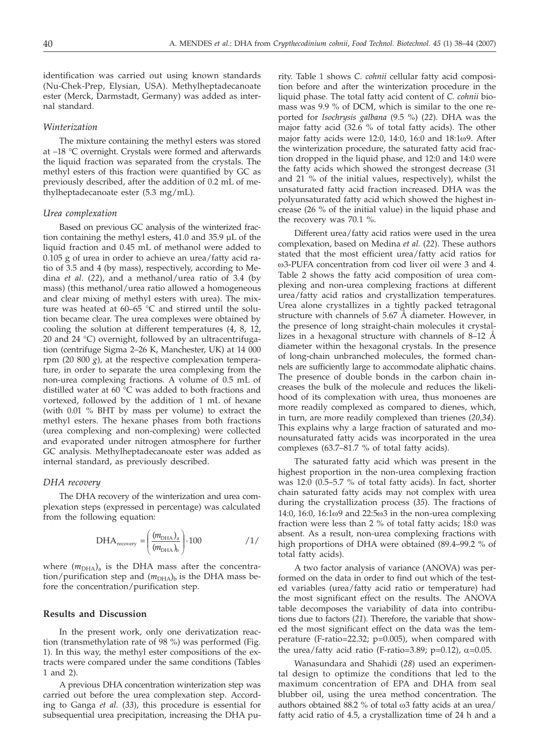identification was carried out using known standards (Nu-Chek-Prep, Elysian, USA). Methylheptadecanoate ester (Merck, Darmstadt, Germany) was added as internal standard.

## *Winterization*

The mixture containing the methyl esters was stored at –18 °C overnight. Crystals were formed and afterwards the liquid fraction was separated from the crystals. The methyl esters of this fraction were quantified by GC as previously described, after the addition of 0.2 mL of methylheptadecanoate ester (5.3 mg/mL).

### *Urea complexation*

Based on previous GC analysis of the winterized fraction containing the methyl esters, 41.0 and 35.9 µL of the liquid fraction and 0.45 mL of methanol were added to 0.105 g of urea in order to achieve an urea/fatty acid ratio of 3.5 and 4 (by mass), respectively, according to Medina *et al.* (*22*), and a methanol/urea ratio of 3.4 (by mass) (this methanol/urea ratio allowed a homogeneous and clear mixing of methyl esters with urea). The mixture was heated at 60–65 °C and stirred until the solution became clear. The urea complexes were obtained by cooling the solution at different temperatures (4, 8, 12, 20 and 24 °C) overnight, followed by an ultracentrifugation (centrifuge Sigma 2–26 K, Manchester, UK) at 14 000 rpm (20 800  $g$ ), at the respective complexation temperature, in order to separate the urea complexing from the non-urea complexing fractions. A volume of 0.5 mL of distilled water at 60 °C was added to both fractions and vortexed, followed by the addition of 1 mL of hexane (with 0.01 % BHT by mass per volume) to extract the methyl esters. The hexane phases from both fractions (urea complexing and non-complexing) were collected and evaporated under nitrogen atmosphere for further GC analysis. Methylheptadecanoate ester was added as internal standard, as previously described.

## *DHA recovery*

The DHA recovery of the winterization and urea complexation steps (expressed in percentage) was calculated from the following equation:

$$
DHA_{\text{recovery}} = \left(\frac{(m_{\text{DHA}})_a}{(m_{\text{DHA}})_b}\right) \cdot 100 \qquad \qquad /1/
$$

where  $(m<sub>DHA</sub>)<sub>a</sub>$  is the DHA mass after the concentration/purification step and ( $m<sub>DHA</sub>$ )<sub>b</sub> is the DHA mass before the concentration/purification step.

## **Results and Discussion**

In the present work, only one derivatization reaction (transmethylation rate of 98 %) was performed (Fig. 1). In this way, the methyl ester compositions of the extracts were compared under the same conditions (Tables 1 and 2).

A previous DHA concentration winterization step was carried out before the urea complexation step. According to Ganga *et al.* (*33*), this procedure is essential for subsequential urea precipitation, increasing the DHA purity. Table 1 shows *C. cohnii* cellular fatty acid composition before and after the winterization procedure in the liquid phase. The total fatty acid content of *C. cohnii* biomass was 9.9 % of DCM, which is similar to the one reported for *Isochrysis galbana* (9.5 %) (*22*). DHA was the major fatty acid (32.6 % of total fatty acids). The other major fatty acids were 12:0, 14:0, 16:0 and 18:1w9. After the winterization procedure, the saturated fatty acid fraction dropped in the liquid phase, and 12:0 and 14:0 were the fatty acids which showed the strongest decrease (31 and 21 % of the initial values, respectively), whilst the unsaturated fatty acid fraction increased. DHA was the polyunsaturated fatty acid which showed the highest increase (26 % of the initial value) in the liquid phase and the recovery was 70.1 %.

Different urea/fatty acid ratios were used in the urea complexation, based on Medina *et al.* (*22*). These authors stated that the most efficient urea/fatty acid ratios for ω3-PUFA concentration from cod liver oil were 3 and 4. Table 2 shows the fatty acid composition of urea complexing and non-urea complexing fractions at different urea/fatty acid ratios and crystallization temperatures. Urea alone crystallizes in a tightly packed tetragonal structure with channels of 5.67 Å diameter. However, in the presence of long straight-chain molecules it crystallizes in a hexagonal structure with channels of 8–12 Å diameter within the hexagonal crystals. In the presence of long-chain unbranched molecules, the formed channels are sufficiently large to accommodate aliphatic chains. The presence of double bonds in the carbon chain increases the bulk of the molecule and reduces the likelihood of its complexation with urea, thus monoenes are more readily complexed as compared to dienes, which, in turn, are more readily complexed than trienes (*20,34*). This explains why a large fraction of saturated and monounsaturated fatty acids was incorporated in the urea complexes (63.7–81.7 % of total fatty acids).

The saturated fatty acid which was present in the highest proportion in the non-urea complexing fraction was 12:0 (0.5–5.7 % of total fatty acids). In fact, shorter chain saturated fatty acids may not complex with urea during the crystallization process (*35*). The fractions of 14:0, 16:0, 16:1w9 and 22:5w3 in the non-urea complexing fraction were less than 2 % of total fatty acids; 18:0 was absent. As a result, non-urea complexing fractions with high proportions of DHA were obtained (89.4–99.2 % of total fatty acids).

A two factor analysis of variance (ANOVA) was performed on the data in order to find out which of the tested variables (urea/fatty acid ratio or temperature) had the most significant effect on the results. The ANOVA table decomposes the variability of data into contributions due to factors (*21*). Therefore, the variable that showed the most significant effect on the data was the temperature (F-ratio=22.32; p=0.005), when compared with the urea/fatty acid ratio (F-ratio=3.89; p=0.12),  $\alpha$ =0.05.

Wanasundara and Shahidi (*28*) used an experimental design to optimize the conditions that led to the maximum concentration of EPA and DHA from seal blubber oil, using the urea method concentration. The authors obtained 88.2 % of total  $\omega$ 3 fatty acids at an urea/ fatty acid ratio of 4.5, a crystallization time of 24 h and a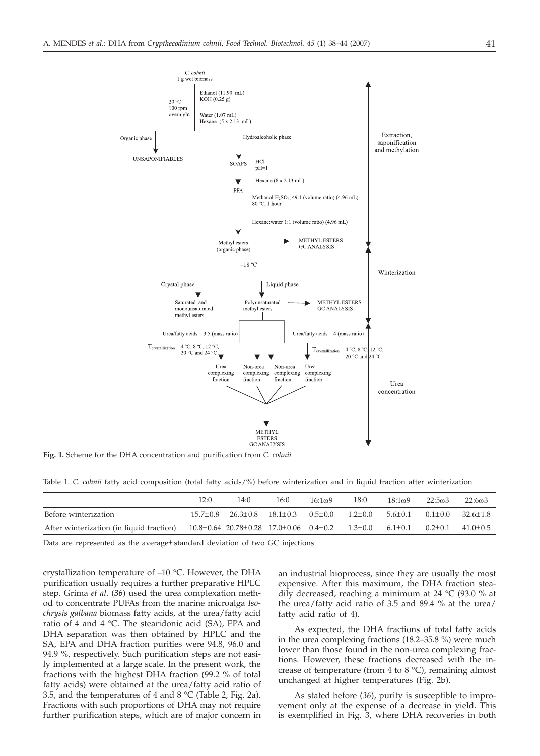

**Fig. 1.** Scheme for the DHA concentration and purification from *C. cohnii*

|  |  |  |  |  | Table 1. C. cohnii fatty acid composition (total fatty acids/%) before winterization and in liquid fraction after winterization |  |  |  |
|--|--|--|--|--|---------------------------------------------------------------------------------------------------------------------------------|--|--|--|
|--|--|--|--|--|---------------------------------------------------------------------------------------------------------------------------------|--|--|--|

|                                          | 12:0 | 14:0                                                                         | 16:0 | 16:109 | 18:0        | 18:1 <sub>0</sub> 9 | 22:503        | 22:603               |
|------------------------------------------|------|------------------------------------------------------------------------------|------|--------|-------------|---------------------|---------------|----------------------|
| Before winterization                     |      | $15.7 \pm 0.8$ $26.3 \pm 0.8$ $18.1 \pm 0.3$ $0.5 \pm 0.0$                   |      |        | $1.2 + 0.0$ | $5.6 \pm 0.1$       |               | $0.1+0.0$ $32.6+1.8$ |
| After winterization (in liquid fraction) |      | $10.8 \pm 0.64$ 20.78 $\pm$ 0.28 17.0 $\pm$ 0.06 0.4 $\pm$ 0.2 1.3 $\pm$ 0.0 |      |        |             | $6.1 \pm 0.1$       | $0.2 \pm 0.1$ | $41.0 + 0.5$         |

Data are represented as the average± standard deviation of two GC injections

crystallization temperature of –10 °C. However, the DHA purification usually requires a further preparative HPLC step. Grima *et al*. (*36*) used the urea complexation method to concentrate PUFAs from the marine microalga *Isochrysis galbana* biomass fatty acids, at the urea/fatty acid ratio of 4 and 4 °C. The stearidonic acid (SA), EPA and DHA separation was then obtained by HPLC and the SA, EPA and DHA fraction purities were 94.8, 96.0 and 94.9 %, respectively. Such purification steps are not easily implemented at a large scale. In the present work, the fractions with the highest DHA fraction (99.2 % of total fatty acids) were obtained at the urea/fatty acid ratio of 3.5, and the temperatures of 4 and 8 °C (Table 2, Fig. 2a). Fractions with such proportions of DHA may not require further purification steps, which are of major concern in

an industrial bioprocess, since they are usually the most expensive. After this maximum, the DHA fraction steadily decreased, reaching a minimum at 24 °C (93.0 % at the urea/fatty acid ratio of 3.5 and 89.4 % at the urea/ fatty acid ratio of 4).

As expected, the DHA fractions of total fatty acids in the urea complexing fractions (18.2–35.8 %) were much lower than those found in the non-urea complexing fractions. However, these fractions decreased with the increase of temperature (from 4 to 8  $^{\circ}$ C), remaining almost unchanged at higher temperatures (Fig. 2b).

As stated before (*36*), purity is susceptible to improvement only at the expense of a decrease in yield. This is exemplified in Fig. 3, where DHA recoveries in both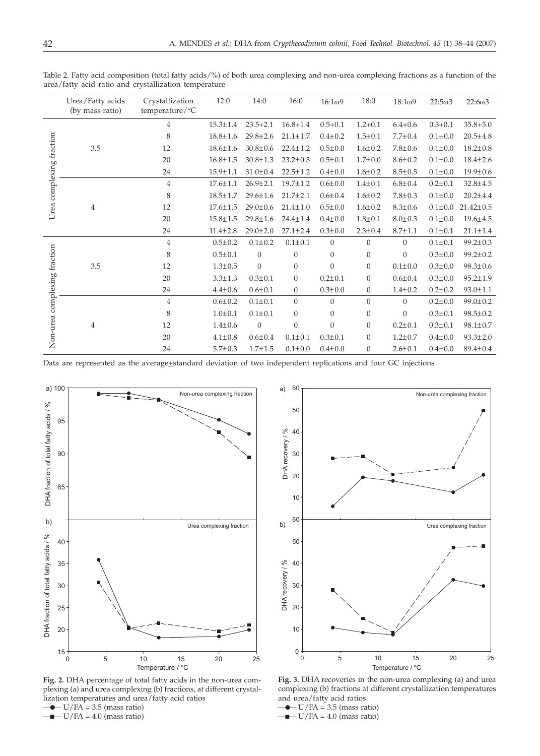|                                 | Urea/Fatty acids<br>(by mass ratio) | Crystallization<br>temperature/°C | 12:0           | 14:0             | 16:0           | 16:1 <sub>0</sub> 9 | 18:0           | 18:109         | $22:5\omega3$ | 22:603          |
|---------------------------------|-------------------------------------|-----------------------------------|----------------|------------------|----------------|---------------------|----------------|----------------|---------------|-----------------|
| Urea complexing fraction        | 3.5                                 | $\overline{4}$                    | $15.3 \pm 1.4$ | $23.5 + 2.1$     | $16.8 + 1.4$   | $0.5 + 0.1$         | $1.2 + 0.1$    | $6.4 + 0.6$    | $0.3 + 0.1$   | $35.8 + 5.0$    |
|                                 |                                     | 8                                 | $18.8 \pm 1.6$ | 29.8±2.6         | $21.1 \pm 1.7$ | $0.4 + 0.2$         | $1.5 \pm 0.1$  | $7.7 \pm 0.4$  | $0.1 \pm 0.0$ | $20.5 \pm 4.8$  |
|                                 |                                     | 12                                | $18.6 \pm 1.6$ | $30.8 \pm 0.6$   | $22.4 \pm 1.2$ | $0.5 \pm 0.0$       | $1.6 \pm 0.2$  | $7.8 \pm 0.6$  | $0.1 \pm 0.0$ | $18.2 \pm 0.8$  |
|                                 |                                     | 20                                | $16.8 \pm 1.5$ | $30.8 \pm 1.3$   | $23.2 \pm 0.3$ | $0.5 \pm 0.1$       | $1.7 \pm 0.0$  | $8.6 \pm 0.2$  | $0.1 \pm 0.0$ | $18.4 \pm 2.6$  |
|                                 |                                     | 24                                | $15.9 \pm 1.1$ | $31.0 \pm 0.4$   | $22.5 \pm 1.2$ | $0.4 + 0.0$         | $1.6 \pm 0.2$  | $8.5 \pm 0.5$  | $0.1 \pm 0.0$ | $19.9 \pm 0.6$  |
|                                 | 4                                   | $\overline{4}$                    | $17.6 \pm 1.1$ | $26.9 \pm 2.1$   | 19.7±1.2       | $0.6 + 0.0$         | $1.4 \pm 0.1$  | $6.8 \pm 0.4$  | $0.2 \pm 0.1$ | $32.8 \pm 4.5$  |
|                                 |                                     | 8                                 | $18.5 \pm 1.7$ | $29.6 \pm 1.6$   | $21.7 \pm 2.1$ | $0.6 + 0.4$         | $1.6 \pm 0.2$  | $7.8 \pm 0.3$  | $0.1 \pm 0.0$ | $20.2 \pm 4.4$  |
|                                 |                                     | 12                                | $17.6 \pm 1.5$ | $29.0 \pm 0.6$   | $21.4 \pm 1.0$ | $0.5 \pm 0.0$       | $1.6 \pm 0.2$  | $8.3 \pm 0.6$  | $0.1 \pm 0.0$ | $21.42 \pm 0.5$ |
|                                 |                                     | 20                                | $15.8 \pm 1.5$ | 29.8±1.6         | $24.4 \pm 1.4$ | $0.4 + 0.0$         | $1.8 + 0.1$    | $8.0 \pm 0.3$  | $0.1 + 0.0$   | $19.6 \pm 4.5$  |
|                                 |                                     | 24                                | $11.4 \pm 2.8$ | $29.0 \pm 2.0$   | $27.1 \pm 2.4$ | $0.3 \pm 0.0$       | $2.3 \pm 0.4$  | $8.7 \pm 1.1$  | $0.1 \pm 0.1$ | $21.1 \pm 1.4$  |
| complexing fraction<br>Non-urea | 3.5                                 | $\overline{4}$                    | $0.5 \pm 0.2$  | $0.1 \pm 0.2$    | $0.1 \pm 0.1$  | $\overline{0}$      | $\overline{0}$ | $\overline{0}$ | $0.1 \pm 0.1$ | $99.2 \pm 0.3$  |
|                                 |                                     | 8                                 | $0.5 + 0.1$    | $\overline{0}$   | $\mathbf{0}$   | $\overline{0}$      | $\overline{0}$ | $\overline{0}$ | $0.3 + 0.0$   | $99.2 \pm 0.2$  |
|                                 |                                     | 12                                | $1.3 \pm 0.5$  | $\boldsymbol{0}$ | $\mathbf{0}$   | $\mathbf{0}$        | $\theta$       | $0.1 + 0.0$    | $0.3 \pm 0.0$ | $98.3 \pm 0.6$  |
|                                 |                                     | 20                                | $3.3 \pm 1.3$  | $0.3 \pm 0.1$    | $\overline{0}$ | $0.2 \pm 0.1$       | $\overline{0}$ | $0.6{\pm}0.4$  | $0.3 \pm 0.0$ | $95.2 \pm 1.9$  |
|                                 |                                     | 24                                | $4.4 \pm 0.6$  | $0.6{\pm}0.1$    | $\mathbf{0}$   | $0.3 \pm 0.0$       | $\overline{0}$ | $1.4 \pm 0.2$  | $0.2 \pm 0.2$ | $93.0 \pm 1.1$  |
|                                 | 4                                   | $\overline{4}$                    | $0.6 \pm 0.2$  | $0.1 \pm 0.1$    | $\overline{0}$ | $\theta$            | $\overline{0}$ | $\overline{0}$ | $0.2 \pm 0.0$ | $99.0 \pm 0.2$  |
|                                 |                                     | 8                                 | $1.0 + 0.1$    | $0.1 \pm 0.1$    | $\overline{0}$ | $\overline{0}$      | $\overline{0}$ | $\overline{0}$ | $0.3 \pm 0.1$ | $98.5 \pm 0.2$  |
|                                 |                                     | 12                                | $1.4 \pm 0.6$  | $\mathbf{0}$     | $\overline{0}$ | $\overline{0}$      | $\theta$       | $0.2 \pm 0.1$  | $0.3 \pm 0.1$ | $98.1 \pm 0.7$  |
|                                 |                                     | 20                                | $4.1 \pm 0.8$  | $0.6 \pm 0.4$    | $0.1 \pm 0.1$  | $0.3{\pm}0.1$       | $\theta$       | $1.2 \pm 0.7$  | $0.4 \pm 0.0$ | $93.3 \pm 2.0$  |
|                                 |                                     | 24                                | $5.7 \pm 0.3$  | $1.7 + 1.5$      | $0.1 \pm 0.0$  | $0.4 + 0.0$         | $\mathbf{0}$   | $2.6 \pm 0.1$  | $0.4 + 0.0$   | $89.4 \pm 0.4$  |

Table 2. Fatty acid composition (total fatty acids/%) of both urea complexing and non-urea complexing fractions as a function of the urea/fatty acid ratio and crystallization temperature

Data are represented as the average±standard deviation of two independent replications and four GC injections



**Fig. 2.** DHA percentage of total fatty acids in the non-urea complexing (a) and urea complexing (b) fractions, at different crystallization temperatures and urea/fatty acid ratios — —*•* U/FA = 3.5 (mass ratio)

 $\longrightarrow$  U/FA = 4.0 (mass ratio)



**Fig. 3.** DHA recoveries in the non-urea complexing (a) and urea complexing (b) fractions at different crystallization temperatures and urea/fatty acid ratios

— —*•* U/FA = 3.5 (mass ratio)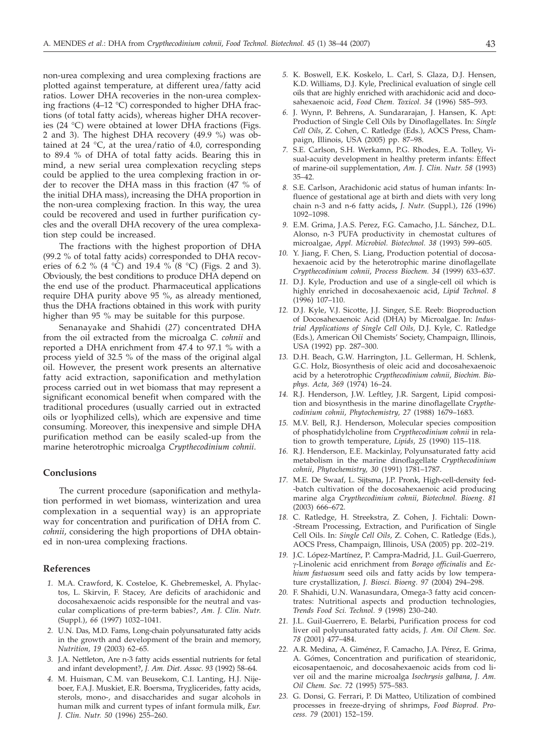non-urea complexing and urea complexing fractions are plotted against temperature, at different urea/fatty acid ratios. Lower DHA recoveries in the non-urea complexing fractions (4–12 °C) corresponded to higher DHA fractions (of total fatty acids), whereas higher DHA recoveries (24 °C) were obtained at lower DHA fractions (Figs. 2 and 3). The highest DHA recovery (49.9 %) was obtained at 24 °C, at the urea/ratio of 4.0, corresponding to 89.4 % of DHA of total fatty acids. Bearing this in mind, a new serial urea complexation recycling steps could be applied to the urea complexing fraction in order to recover the DHA mass in this fraction (47 % of the initial DHA mass), increasing the DHA proportion in the non-urea complexing fraction. In this way, the urea could be recovered and used in further purification cycles and the overall DHA recovery of the urea complexation step could be increased.

The fractions with the highest proportion of DHA (99.2 % of total fatty acids) corresponded to DHA recoveries of 6.2 % (4 °C) and 19.4 % (8 °C) (Figs. 2 and 3). Obviously, the best conditions to produce DHA depend on the end use of the product. Pharmaceutical applications require DHA purity above 95 %, as already mentioned, thus the DHA fractions obtained in this work with purity higher than 95 % may be suitable for this purpose.

Senanayake and Shahidi (*27*) concentrated DHA from the oil extracted from the microalga *C. cohnii* and reported a DHA enrichment from 47.4 to 97.1 % with a process yield of 32.5 % of the mass of the original algal oil. However, the present work presents an alternative fatty acid extraction, saponification and methylation process carried out in wet biomass that may represent a significant economical benefit when compared with the traditional procedures (usually carried out in extracted oils or lyophilized cells), which are expensive and time consuming. Moreover, this inexpensive and simple DHA purification method can be easily scaled-up from the marine heterotrophic microalga *Crypthecodinium cohnii*.

## **Conclusions**

The current procedure (saponification and methylation performed in wet biomass, winterization and urea complexation in a sequential way) is an appropriate way for concentration and purification of DHA from *C. cohnii*, considering the high proportions of DHA obtained in non-urea complexing fractions.

## **References**

- *1.* M.A. Crawford, K. Costeloe, K. Ghebremeskel, A. Phylactos, L. Skirvin, F. Stacey, Are deficits of arachidonic and docosahexaenoic acids responsible for the neutral and vascular complications of pre-term babies?, *Am. J. Clin. Nutr*. (Suppl.), *66* (1997) 1032–1041.
- *2.* U.N. Das, M.D. Fams, Long-chain polyunsaturated fatty acids in the growth and development of the brain and memory, *Nutrition, 19* (2003) 62–65.
- *3.* J.A. Nettleton, Are n-3 fatty acids essential nutrients for fetal and infant development?, *J. Am. Diet. Assoc*. *93* (1992) 58–64.
- *4.* M. Huisman, C.M. van Beusekom, C.I. Lanting, H.J. Nijeboer, F.A.J. Muskiet, E.R. Boersma, Tryglicerides, fatty acids, sterols, mono-, and disaccharides and sugar alcohols in human milk and current types of infant formula milk, *Eur. J. Clin. Nutr. 50* (1996) 255–260.
- *5.* K. Boswell, E.K. Koskelo, L. Carl, S. Glaza, D.J. Hensen, K.D. Williams, D.J. Kyle, Preclinical evaluation of single cell oils that are highly enriched with arachidonic acid and docosahexaenoic acid, *Food Chem. Toxicol. 34* (1996) 585–593.
- *6.* J. Wynn, P. Behrens, A. Sundararajan, J. Hansen, K. Apt: Production of Single Cell Oils by Dinoflagellates. In: *Single Cell Oils*, Z. Cohen, C. Ratledge (Eds.), AOCS Press, Champaign, Illinois, USA (2005) pp. 87–98.
- *7.* S.E. Carlson, S.H. Werkamn, P.G. Rhodes, E.A. Tolley, Visual-acuity development in healthy preterm infants: Effect of marine-oil supplementation, *Am. J. Clin. Nutr. 58* (1993) 35–42.
- *8.* S.E. Carlson, Arachidonic acid status of human infants: Influence of gestational age at birth and diets with very long chain n-3 and n-6 fatty acids**,** *J. Nutr.* (Suppl.), *126* (1996) 1092–1098.
- *9.* E.M. Grima, J.A.S. Perez, F.G. Camacho, J.L. Sánchez, D.L. Alonso, n-3 PUFA productivity in chemostat cultures of microalgae, *Appl. Microbiol. Biotechnol. 38* (1993) 599–605.
- *10.* Y. Jiang, F. Chen, S. Liang, Production potential of docosahexaenoic acid by the heterotrophic marine dinoflagellate *Crypthecodinium cohnii*, *Process Biochem. 34* (1999) 633–637.
- *11.* D.J. Kyle, Production and use of a single-cell oil which is highly enriched in docosahexaenoic acid, *Lipid Technol*. *8* (1996) 107–110.
- *12.* D.J. Kyle, V.J. Sicotte, J.J. Singer, S.E. Reeb: Bioproduction of Docosahexaenoic Acid (DHA) by Microalgae. In: *Industrial Applications of Single Cell Oils,* D.J. Kyle, C. Ratledge (Eds.), American Oil Chemists' Society, Champaign, Illinois, USA (1992) pp. 287–300.
- *13.* D.H. Beach, G.W. Harrington, J.L. Gellerman, H. Schlenk, G.C. Holz, Biosynthesis of oleic acid and docosahexaenoic acid by a heterotrophic *Crypthecodinium cohnii*, *Biochim. Biophys. Acta, 369* (1974) 16–24.
- *14.* R.J. Henderson, J.W. Leftley, J.R. Sargent, Lipid composition and biosynthesis in the marine dinoflagellate *Crypthecodinium cohnii*, *Phytochemistry, 27* (1988) 1679–1683.
- *15.* M.V. Bell, R.J. Henderson, Molecular species composition of phosphatidylcholine from *Crypthecodinium cohnii* in relation to growth temperature, *Lipids, 25* (1990) 115–118.
- *16.* R.J. Henderson, E.E. Mackinlay, Polyunsaturated fatty acid metabolism in the marine dinoflagellate *Crypthecodinium cohnii*, *Phytochemistry, 30* (1991) 1781–1787.
- *17.* M.E. De Swaaf, L. Sijtsma, J.P. Pronk, High-cell-density fed- -batch cultivation of the docosahexaenoic acid producing marine alga *Crypthecodinium cohnii*, *Biotechnol. Bioeng*. *81* (2003) 666–672.
- *18.* C. Ratledge, H. Streekstra, Z. Cohen, J. Fichtali: Down- -Stream Processing, Extraction, and Purification of Single Cell Oils. In: *Single Cell Oils*, Z. Cohen, C. Ratledge (Eds.), AOCS Press, Champaign, Illinois, USA (2005) pp. 202–219.
- *19.* J.C. López-Martínez, P. Campra-Madrid, J.L. Guil-Guerrero, g-Linolenic acid enrichment from *Borago officinalis* and *Echium fastuosum* seed oils and fatty acids by low temperature crystallization, *J. Biosci. Bioeng. 97* (2004) 294–298.
- *20.* F. Shahidi, U.N. Wanasundara, Omega-3 fatty acid concentrates: Nutritional aspects and production technologies, *Trends Food Sci. Technol. 9* (1998) 230–240.
- *21.* J.L. Guil-Guerrero, E. Belarbi, Purification process for cod liver oil polyunsaturated fatty acids, *J. Am. Oil Chem. Soc. 78* (2001) 477–484.
- *22.* A.R. Medina, A. Giménez, F. Camacho, J.A. Pérez, E. Grima, A. Gómes, Concentration and purification of stearidonic, eicosapentaenoic, and docosahexaenoic acids from cod liver oil and the marine microalga *Isochrysis galbana*, *J. Am. Oil Chem. Soc. 72* (1995) 575–583.
- *23.* G. Donsi, G. Ferrari, P. Di Matteo, Utilization of combined processes in freeze-drying of shrimps, *Food Bioprod. Process. 79* (2001) 152–159.